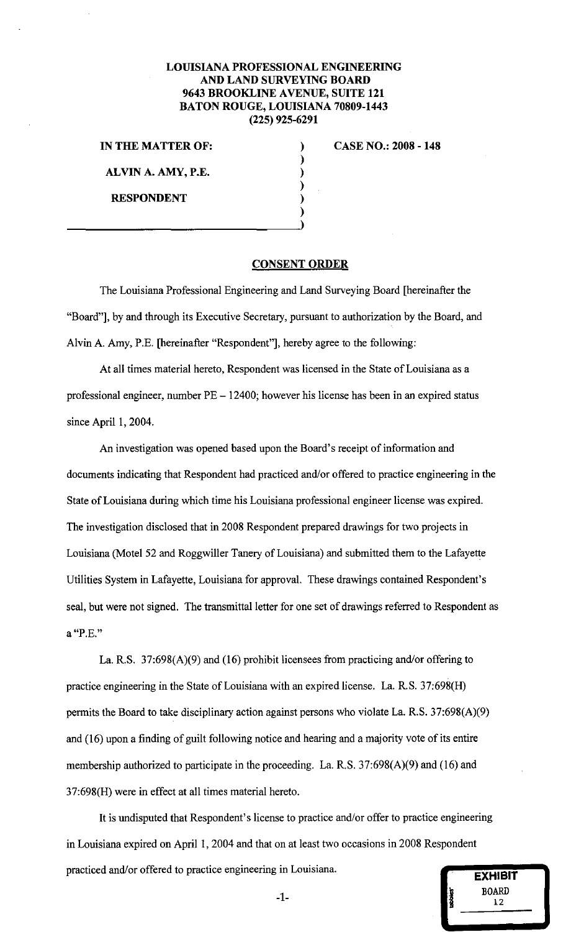## LOUISIANA PROFESSIONAL ENGINEERING AND LAND SURVEYING BOARD 9643 BROOKLINE AVENUE, SUITE 121 BATON ROUGE, LOUISIANA 70809-1443 (225) 925-6291

IN THE MATTER OF:

ALVIN A. AMY, P.E.

 $\frac{1}{1}$ 

RESPONDENT

CASE NO.: 2008 - 148

## CONSENT ORDER

) ) ) ) ) )

The Louisiana Professional Engineering and Land Surveying Board [hereinafter the "Board"], by and through its Executive Secretary, pursuant to authorization by the Board, and Alvin A. Amy, P.E. [hereinafter "Respondent'], hereby agree to the following:

At all times material hereto, Respondent was licensed in the State of Louisiana as a professional engineer, number  $PE - 12400$ ; however his license has been in an expired status since April 1, 2004.

An investigation was opened based upon the Board's receipt of information and documents indicating that Respondent had practiced and/or offered to practice engineering in the State of Louisiana during which time his Louisiana professional engineer license was expired. The investigation disclosed that in 2008 Respondent prepared drawings for two projects in Louisiana (Motel 52 and Roggwiller Tanery of Louisiana) and submitted them to the Lafayette Utilities System in Lafayette, Louisiana for approval. These drawings contained Respondent's seal, but were not signed. The transmittal letter for one set of drawings referred to Respondent as **a "P.E."** 

La. R.S. 37:698(A)(9) and (16) prohibit licensees from practicing and/or offering to practice engineering in the State of Louisiana with an expired license. La. R.S. 37:698(H) permits the Board to take disciplinary action against persons who violate La. R.S. 37:698(A)(9) and (16) upon a finding of guilt following notice and hearing and a majority vote of its entire membership authorized to participate in the proceeding. La. R.S. 37:698(A)(9) and (16) and 37:698(H) were in effect at all times material hereto.

It is undisputed that Respondent's license to practice and/or offer to practice engineering in Louisiana expired on April 1, 2004 and that on at least two occasions in 2008 Respondent practiced and/or offered to practice engineering in Louisiana.

| in Louisiana. | <b>EXHIBIT</b>     |
|---------------|--------------------|
| -1-           | <b>BOARD</b><br>12 |
|               | в                  |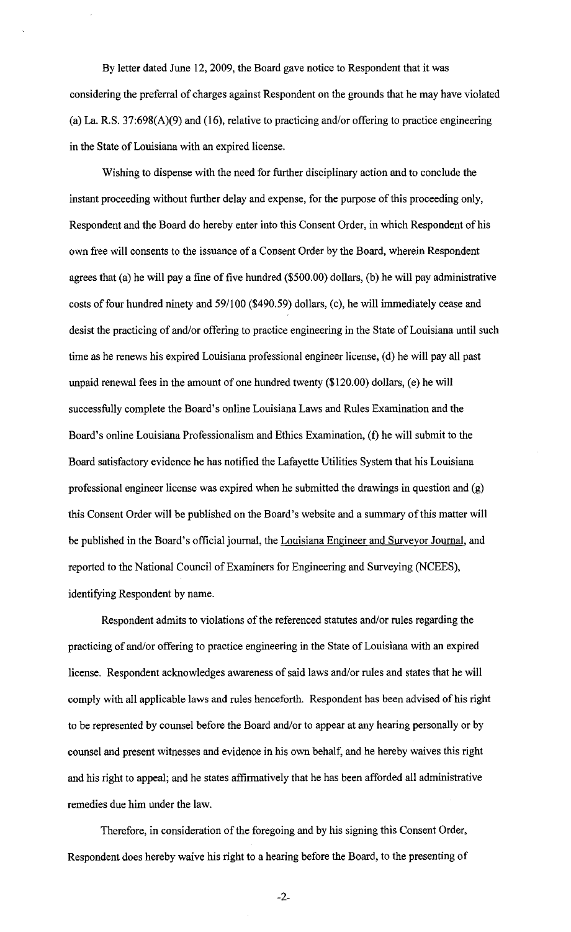By letter dated June 12, 2009, the Board gave notice to Respondent that it was considering the preferral of charges against Respondent on the grounds that he may have violated (a) La. R.S. 37:698(A)(9) and (16), relative to practicing and/or offering to practice engineering in the State of Louisiana with an expired license.

Wishing to dispense with the need for further disciplinary action and to conclude the instant proceeding without further delay and expense, for the purpose of this proceeding only, Respondent and the Board do hereby enter into this Consent Order, in which Respondent of his own free will consents to the issuance of a Consent Order by the Board, wherein Respondent agrees that (a) he will pay a fine of five hundred (\$500.00) dollars, (b) he will pay administrative costs of four hundred ninety and 59/100 (\$490.59) dollars, (c), he will immediately cease and desist the practicing of and/or offering to practice engineering in the State of Louisiana until such time as he renews his expired Louisiana professional engineer license, (d) he will pay all past unpaid renewal fees in the amount of one hundred twenty (\$120.00) dollars, (e) he will successfully complete the Board's online Louisiana Laws and Rules Examination and the Board's online Louisiana Professionalism and Ethics Examination, (f) he will submit to the Board satisfactory evidence he has notified the Lafayette Utilities System that his Louisiana professional engineer license was expired when he submitted the drawings in question and (g) this Consent Order will be published on the Board's website and a summary of this matter will be published in the Board's official journal, the Louisiana Engineer and Surveyor Journal, and reported to the National Council of Examiners for Engineering and Surveying (NCEES), identifying Respondent by name.

Respondent admits to violations of the referenced statutes and/or rules regarding the practicing of and/or offering to practice engineering in the State of Louisiana with an expired license. Respondent acknowledges awareness of said laws and/or rules and states that he will comply with all applicable laws and rules henceforth. Respondent has been advised of his right to be represented by counsel before the Board and/or to appear at any hearing personally or by counsel and present witnesses and evidence in his own behalf, and he hereby waives this right and his right to appeal; and he states affirmatively that he has been afforded all administrative remedies due him under the law.

Therefore, in consideration of the foregoing and by his signing this Consent Order, Respondent does hereby waive his right to a hearing before the Board, to the presenting of

-2-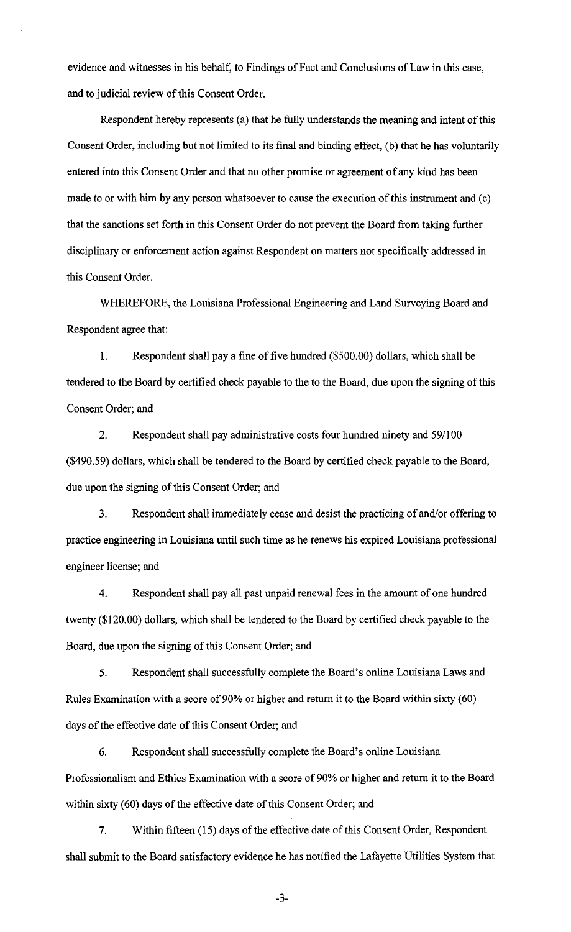evidence and witnesses in his behalf, to Findings of Fact and Conclusions of Law in this case, and to judicial review of this Consent Order.

Respondent hereby represents (a) that he fully understands the meaning and intent of this Consent Order, including but not limited to its final and binding effect, (b) that he has voluntarily entered into this Consent Order and that no other promise or agreement of any kind has been made to or with him by any person whatsoever to cause the execution of this instrument and (c) that the sanctions set forth in this Consent Order do not prevent the Board from taking further disciplinary or enforcement action against Respondent on matters not specifically addressed in this Consent Order.

WHEREFORE, the Louisiana Professional Engineering and Land Surveying Board and Respondent agree that:

1. Respondent shall pay a fine of five hundred (\$500.00) dollars, which shall be tendered to the Board by certified check payable to the to the Board, due upon the signing of this Consent Order; and

2. Respondent shall pay administrative costs four hundred ninety and 59/100 (\$490.59) dollars, which shall be tendered to the Board by certified check payable to the Board, due upon the signing of this Consent Order; and

3. Respondent shall immediately cease and desist the practicing of and/or offering to practice engineering in Louisiana until such time as he renews his expired Louisiana professional engineer license; and

4. Respondent shall pay all past unpaid renewal fees in the amount of one hundred twenty (\$120.00) dollars, which shall be tendered to the Board by certified check payable to the Board, due upon the signing of this Consent Order; and

5. Respondent shall successfully complete the Board's online Louisiana Laws and Rules Examination with a score of 90% or higher and return it to the Board within sixty ( 60) days of the effective date of this Consent Order; and

6. Respondent shall successfully complete the Board's online Louisiana Professionalism and Ethics Examination with a score of 90% or higher and return it to the Board within sixty (60) days of the effective date of this Consent Order; and

7. Within fifteen (15) days of the effective date of this Consent Order, Respondent shall submit to the Board satisfactory evidence he has notified the Lafayette Utilities System that

-3-